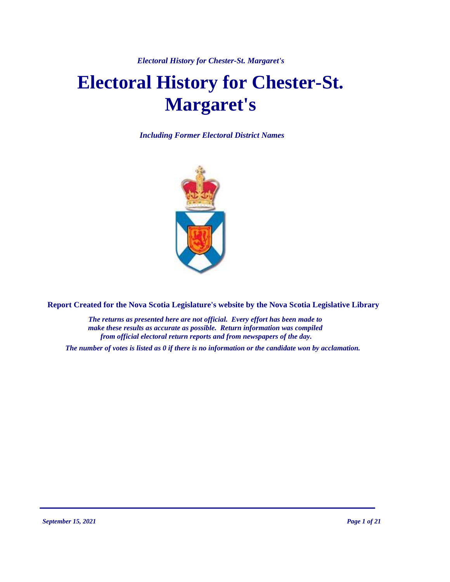# **Electoral History for Chester-St. Margaret's**

*Including Former Electoral District Names*



**Report Created for the Nova Scotia Legislature's website by the Nova Scotia Legislative Library**

*The returns as presented here are not official. Every effort has been made to make these results as accurate as possible. Return information was compiled from official electoral return reports and from newspapers of the day.*

*The number of votes is listed as 0 if there is no information or the candidate won by acclamation.*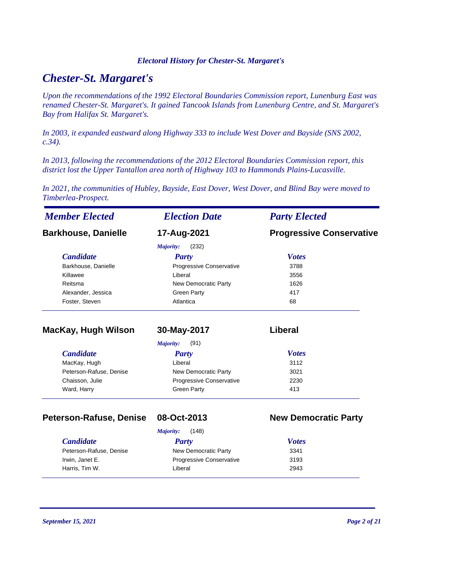# *Chester-St. Margaret's*

*Upon the recommendations of the 1992 Electoral Boundaries Commission report, Lunenburg East was renamed Chester-St. Margaret's. It gained Tancook Islands from Lunenburg Centre, and St. Margaret's Bay from Halifax St. Margaret's.* 

*In 2003, it expanded eastward along Highway 333 to include West Dover and Bayside (SNS 2002, c.34).* 

*In 2013, following the recommendations of the 2012 Electoral Boundaries Commission report, this district lost the Upper Tantallon area north of Highway 103 to Hammonds Plains-Lucasville.*

*In 2021, the communities of Hubley, Bayside, East Dover, West Dover, and Blind Bay were moved to Timberlea-Prospect.*

| <b>Member Elected</b>      | <b>Election Date</b>     | <b>Party Elected</b>            |
|----------------------------|--------------------------|---------------------------------|
| <b>Barkhouse, Danielle</b> | 17-Aug-2021              | <b>Progressive Conservative</b> |
|                            | (232)<br>Majority:       |                                 |
| <b>Candidate</b>           | <b>Party</b>             | <b>Votes</b>                    |
| Barkhouse, Danielle        | Progressive Conservative | 3788                            |
| Killawee                   | Liberal                  | 3556                            |
| Reitsma                    | New Democratic Party     | 1626                            |
| Alexander, Jessica         | <b>Green Party</b>       | 417                             |
| Foster, Steven             | Atlantica                | 68                              |
| MacKay, Hugh Wilson        | 30-May-2017              | Liberal                         |
|                            | (91)<br>Majority:        |                                 |
| <b>Candidate</b>           | <b>Party</b>             | <b>Votes</b>                    |
| MacKay, Hugh               | Liberal                  | 3112                            |
| Peterson-Rafuse, Denise    | New Democratic Party     | 3021                            |
| Chaisson, Julie            | Progressive Conservative | 2230                            |
| Ward, Harry                | <b>Green Party</b>       | 413                             |

#### **Peterson-Rafuse, Denise 08-Oct-2013 New Democratic Party**

| (148)<br>Majority:                      |  |  |  |  |
|-----------------------------------------|--|--|--|--|
| <b>Votes</b><br>Party                   |  |  |  |  |
| New Democratic Party<br>3341            |  |  |  |  |
| <b>Progressive Conservative</b><br>3193 |  |  |  |  |
| Liberal<br>2943                         |  |  |  |  |
|                                         |  |  |  |  |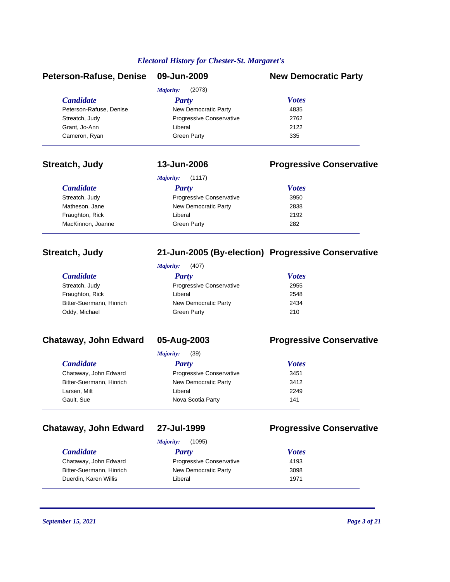| Peterson-Rafuse, Denise | 09-Jun-2009              | <b>New Democratic Party</b> |
|-------------------------|--------------------------|-----------------------------|
|                         | (2073)<br>Majority:      |                             |
| <i>Candidate</i>        | Party                    | <b>Votes</b>                |
| Peterson-Rafuse, Denise | New Democratic Party     | 4835                        |
| Streatch, Judy          | Progressive Conservative | 2762                        |
| Grant, Jo-Ann           | Liberal                  | 2122                        |
| Cameron, Ryan           | <b>Green Party</b>       | 335                         |

# **Streatch, Judy 13-Jun-2006 Progressive Conservative**

| (1117)<br>Majority: |                          |              |  |  |
|---------------------|--------------------------|--------------|--|--|
| <b>Candidate</b>    | Party                    | <b>Votes</b> |  |  |
| Streatch, Judy      | Progressive Conservative | 3950         |  |  |
| Matheson, Jane      | New Democratic Party     | 2838         |  |  |
| Fraughton, Rick     | Liberal                  | 2192         |  |  |
| MacKinnon, Joanne   | Green Party              | 282          |  |  |

### **Streatch, Judy 21-Jun-2005 (By-election) Progressive Conservative**

*Majority:* (407)

| <b>Candidate</b>         | Party                           | <b>Votes</b> |
|--------------------------|---------------------------------|--------------|
| Streatch, Judy           | <b>Progressive Conservative</b> | 2955         |
| Fraughton, Rick          | Liberal                         | 2548         |
| Bitter-Suermann, Hinrich | New Democratic Party            | 2434         |
| Oddy, Michael            | <b>Green Party</b>              | 210          |

# **Chataway, John Edward 05-Aug-2003 Progressive Conservative**

| <i>Candidate</i>         | Party                           | <b>Votes</b> |  |
|--------------------------|---------------------------------|--------------|--|
| Chataway, John Edward    | <b>Progressive Conservative</b> | 3451         |  |
| Bitter-Suermann, Hinrich | New Democratic Party            | 3412         |  |
| Larsen, Milt             | Liberal                         | 2249         |  |
| Gault, Sue               | Nova Scotia Party               | 141          |  |

# **Chataway, John Edward 27-Jul-1999 Progressive Conservative**

|  |  | 71-JUI-1999 |  |
|--|--|-------------|--|
|  |  |             |  |

*Majority:* (1095)

### *Candidate Party Votes* Chataway, John Edward **Progressive Conservative** 4193 Bitter-Suermann, Hinrich New Democratic Party 3098 Duerdin, Karen Willis **Network Liberal 1971** Current Constantine 1971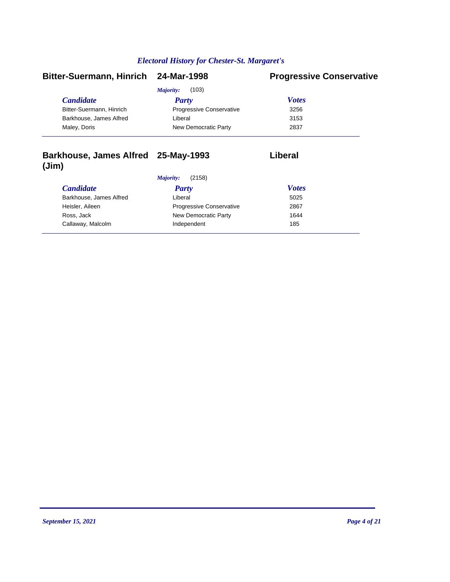| Bitter-Suermann, Hinrich 24-Mar-1998 |                          | <b>Progressive Conservative</b> |
|--------------------------------------|--------------------------|---------------------------------|
|                                      | (103)<br>Majority:       |                                 |
| <b>Candidate</b>                     | Party                    | <b>Votes</b>                    |
| Bitter-Suermann, Hinrich             | Progressive Conservative | 3256                            |
| Barkhouse, James Alfred              | Liberal                  | 3153                            |
| Maley, Doris                         | New Democratic Party     | 2837                            |

## **Barkhouse, James Alfred 25-May-1993 Liberal (Jim)**

*Majority:* (2158)

| <i>Candidate</i>        | <b>Party</b>                    | <b>Votes</b> |  |
|-------------------------|---------------------------------|--------------|--|
| Barkhouse, James Alfred | Liberal                         | 5025         |  |
| Heisler, Aileen         | <b>Progressive Conservative</b> | 2867         |  |
| Ross, Jack              | New Democratic Party            | 1644         |  |
| Callaway, Malcolm       | Independent                     | 185          |  |
|                         |                                 |              |  |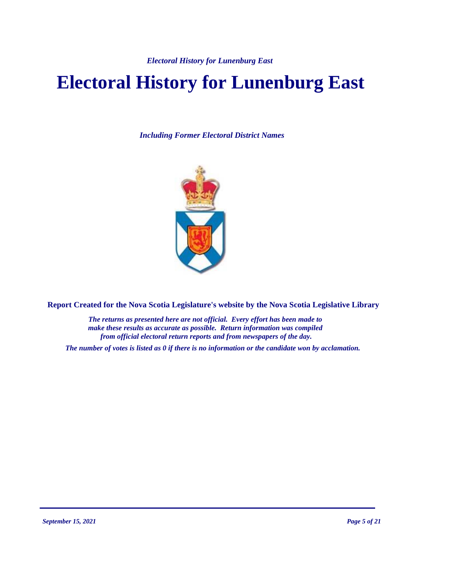# **Electoral History for Lunenburg East**

*Including Former Electoral District Names*



**Report Created for the Nova Scotia Legislature's website by the Nova Scotia Legislative Library**

*The returns as presented here are not official. Every effort has been made to make these results as accurate as possible. Return information was compiled from official electoral return reports and from newspapers of the day.*

*The number of votes is listed as 0 if there is no information or the candidate won by acclamation.*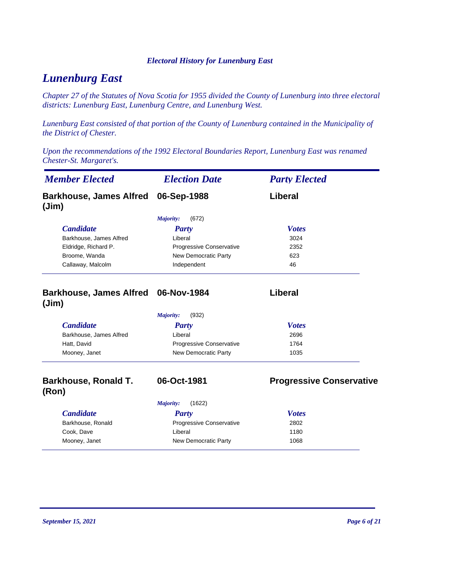# *Lunenburg East*

*Chapter 27 of the Statutes of Nova Scotia for 1955 divided the County of Lunenburg into three electoral districts: Lunenburg East, Lunenburg Centre, and Lunenburg West.*

*Lunenburg East consisted of that portion of the County of Lunenburg contained in the Municipality of the District of Chester.*

*Upon the recommendations of the 1992 Electoral Boundaries Report, Lunenburg East was renamed Chester-St. Margaret's.*

| <b>Member Elected</b><br><b>Election Date</b> |                            | <b>Party Elected</b>            |
|-----------------------------------------------|----------------------------|---------------------------------|
| <b>Barkhouse, James Alfred</b><br>(Jim)       | 06-Sep-1988                | Liberal                         |
|                                               | (672)<br>Majority:         |                                 |
| <b>Candidate</b>                              | <b>Party</b>               | <b>Votes</b>                    |
| Barkhouse, James Alfred                       | Liberal                    | 3024                            |
| Eldridge, Richard P.                          | Progressive Conservative   | 2352                            |
| Broome, Wanda                                 | New Democratic Party       | 623                             |
| Callaway, Malcolm                             | Independent                | 46                              |
| <b>Barkhouse, James Alfred</b><br>(Jim)       | 06-Nov-1984                | Liberal                         |
|                                               | Majority:<br>(932)         |                                 |
| <b>Candidate</b>                              | <b>Party</b>               | <b>Votes</b>                    |
| Barkhouse, James Alfred                       | Liberal                    | 2696                            |
| Hatt, David                                   | Progressive Conservative   | 1764                            |
| Mooney, Janet                                 | New Democratic Party       | 1035                            |
| <b>Barkhouse, Ronald T.</b><br>(Ron)          | 06-Oct-1981                | <b>Progressive Conservative</b> |
|                                               | <b>Majority:</b><br>(1622) |                                 |
| <b>Candidate</b>                              | <b>Party</b>               | <b>Votes</b>                    |
| Barkhouse, Ronald                             | Progressive Conservative   | 2802                            |
| Cook, Dave                                    | Liberal                    | 1180                            |
| Mooney, Janet                                 | New Democratic Party       | 1068                            |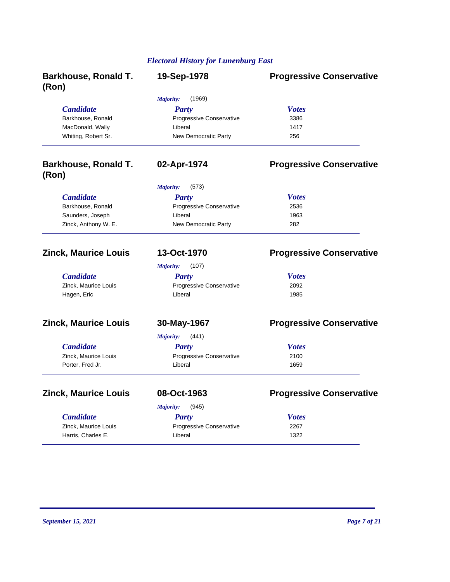| <b>Barkhouse, Ronald T.</b><br>(Ron) | 19-Sep-1978                     | <b>Progressive Conservative</b> |
|--------------------------------------|---------------------------------|---------------------------------|
|                                      | Majority:<br>(1969)             |                                 |
| <b>Candidate</b>                     | <b>Party</b>                    | <b>Votes</b>                    |
| Barkhouse, Ronald                    | Progressive Conservative        | 3386                            |
| MacDonald, Wally                     | Liberal                         | 1417                            |
| Whiting, Robert Sr.                  | New Democratic Party            | 256                             |
| <b>Barkhouse, Ronald T.</b><br>(Ron) | 02-Apr-1974                     | <b>Progressive Conservative</b> |
|                                      | Majority:<br>(573)              |                                 |
| <b>Candidate</b>                     | <b>Party</b>                    | <b>Votes</b>                    |
| Barkhouse, Ronald                    | Progressive Conservative        | 2536                            |
| Saunders, Joseph                     | Liberal                         | 1963                            |
| Zinck, Anthony W. E.                 | New Democratic Party            | 282                             |
| <b>Zinck, Maurice Louis</b>          | 13-Oct-1970                     | <b>Progressive Conservative</b> |
|                                      | Majority:<br>(107)              |                                 |
| <b>Candidate</b>                     | <b>Party</b>                    | <b>Votes</b>                    |
| Zinck, Maurice Louis                 | Progressive Conservative        | 2092                            |
| Hagen, Eric                          | Liberal                         | 1985                            |
| <b>Zinck, Maurice Louis</b>          | 30-May-1967                     | <b>Progressive Conservative</b> |
|                                      | Majority:<br>(441)              |                                 |
| <b>Candidate</b>                     | <b>Party</b>                    | <b>Votes</b>                    |
| Zinck, Maurice Louis                 | <b>Progressive Conservative</b> | 2100                            |
| Porter, Fred Jr.                     | Liberal                         | 1659                            |
| <b>Zinck, Maurice Louis</b>          | 08-Oct-1963                     | <b>Progressive Conservative</b> |
|                                      | Majority:<br>(945)              |                                 |
| <b>Candidate</b>                     | Party                           | <b>Votes</b>                    |
| Zinck, Maurice Louis                 | Progressive Conservative        | 2267                            |
| Harris, Charles E.                   | Liberal                         | 1322                            |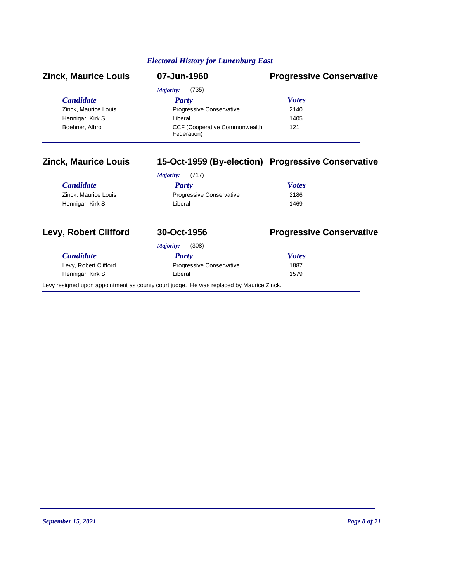| <b>Zinck, Maurice Louis</b> | 07-Jun-1960                                          | <b>Progressive Conservative</b>                    |
|-----------------------------|------------------------------------------------------|----------------------------------------------------|
|                             | (735)<br>Majority:                                   |                                                    |
| <b>Candidate</b>            | Party                                                | <b>Votes</b>                                       |
| Zinck, Maurice Louis        | <b>Progressive Conservative</b>                      | 2140                                               |
| Hennigar, Kirk S.           | Liberal                                              | 1405                                               |
| Boehner, Albro              | <b>CCF (Cooperative Commonwealth)</b><br>Federation) | 121                                                |
| <b>Zinck, Maurice Louis</b> |                                                      | 15-Oct-1959 (By-election) Progressive Conservative |
|                             | (717)<br>Maiority:                                   |                                                    |

|                      | (717)<br>Majority:              |              |  |
|----------------------|---------------------------------|--------------|--|
| <i>Candidate</i>     | Party                           | <b>Votes</b> |  |
| Zinck, Maurice Louis | <b>Progressive Conservative</b> | 2186         |  |
| Hennigar, Kirk S.    | Liberal                         | 1469         |  |

| <b>Levy, Robert Clifford</b> | 30-Oct-1956                                                                             | <b>Progressive Conservative</b> |
|------------------------------|-----------------------------------------------------------------------------------------|---------------------------------|
|                              | (308)<br>Majority:                                                                      |                                 |
| <b>Candidate</b>             | Party                                                                                   | <b>Votes</b>                    |
| Levy, Robert Clifford        | <b>Progressive Conservative</b>                                                         | 1887                            |
| Hennigar, Kirk S.            | Liberal                                                                                 | 1579                            |
|                              | Levy resigned upon appointment as county court judge. He was replaced by Maurice Zinck. |                                 |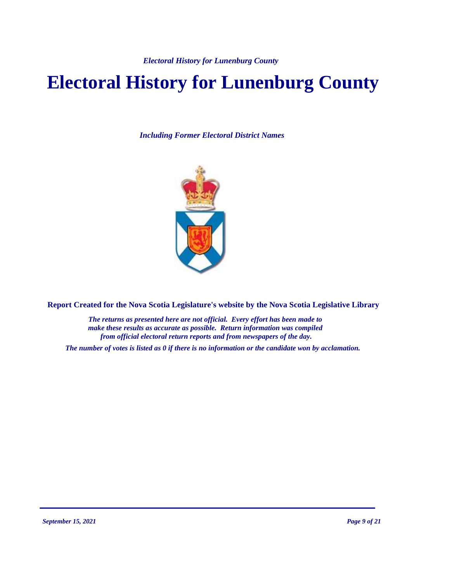# **Electoral History for Lunenburg County**

*Including Former Electoral District Names*



**Report Created for the Nova Scotia Legislature's website by the Nova Scotia Legislative Library**

*The returns as presented here are not official. Every effort has been made to make these results as accurate as possible. Return information was compiled from official electoral return reports and from newspapers of the day.*

*The number of votes is listed as 0 if there is no information or the candidate won by acclamation.*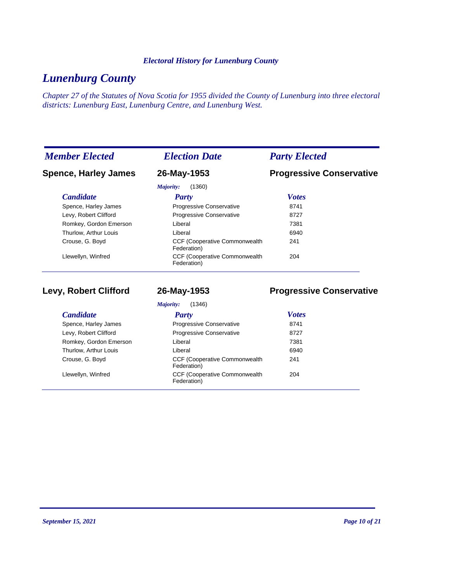# *Lunenburg County*

*Chapter 27 of the Statutes of Nova Scotia for 1955 divided the County of Lunenburg into three electoral districts: Lunenburg East, Lunenburg Centre, and Lunenburg West.*

| <b>Member Elected</b>       | <b>Election Date</b>                                 | <b>Party Elected</b>            |
|-----------------------------|------------------------------------------------------|---------------------------------|
| <b>Spence, Harley James</b> | 26-May-1953                                          | <b>Progressive Conservative</b> |
|                             | (1360)<br>Majority:                                  |                                 |
| <b>Candidate</b>            | Party                                                | <b>Votes</b>                    |
| Spence, Harley James        | Progressive Conservative                             | 8741                            |
| Levy, Robert Clifford       | Progressive Conservative                             | 8727                            |
| Romkey, Gordon Emerson      | Liberal                                              | 7381                            |
| Thurlow, Arthur Louis       | Liberal                                              | 6940                            |
| Crouse, G. Boyd             | <b>CCF (Cooperative Commonwealth)</b><br>Federation) | 241                             |
| Llewellyn, Winfred          | <b>CCF (Cooperative Commonwealth)</b><br>Federation) | 204                             |

**Levy, Robert Clifford 26-May-1953 Progressive Conservative**

| (1346)<br>Majority:    |                                                      |              |  |
|------------------------|------------------------------------------------------|--------------|--|
| <b>Candidate</b>       | Party                                                | <b>Votes</b> |  |
| Spence, Harley James   | <b>Progressive Conservative</b>                      | 8741         |  |
| Levy, Robert Clifford  | <b>Progressive Conservative</b>                      | 8727         |  |
| Romkey, Gordon Emerson | Liberal                                              | 7381         |  |
| Thurlow, Arthur Louis  | Liberal                                              | 6940         |  |
| Crouse, G. Boyd        | <b>CCF (Cooperative Commonwealth)</b><br>Federation) | 241          |  |
| Llewellyn, Winfred     | <b>CCF (Cooperative Commonwealth)</b><br>Federation) | 204          |  |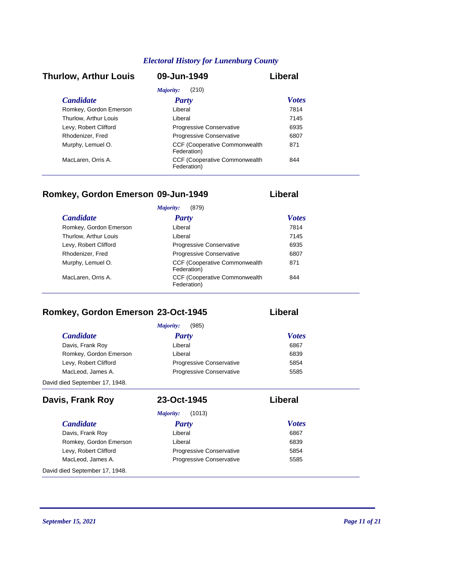#### *Candidate Party Votes* **Thurlow, Arthur Louis 09-Jun-1949 Liberal** *Majority:* (210) Romkey, Gordon Emerson Liberal Liberal 27814 Thurlow, Arthur Louis **Liberal** Liberal **1145** Levy, Robert Clifford **Progressive Conservative** 6935 Rhodenizer, Fred Progressive Conservative 6807 CCF (Cooperative Commonwealth Murphy, Lemuel O. 871 Federation) CCF (Cooperative Commonwealth MacLaren, Orris A. 844 Federation)

### **Romkey, Gordon Emerson 09-Jun-1949 Liberal**

| (879)<br>Majority:     |                                                      |              |  |  |
|------------------------|------------------------------------------------------|--------------|--|--|
| <b>Candidate</b>       | <b>Party</b>                                         | <b>Votes</b> |  |  |
| Romkey, Gordon Emerson | Liberal                                              | 7814         |  |  |
| Thurlow, Arthur Louis  | Liberal                                              | 7145         |  |  |
| Levy, Robert Clifford  | Progressive Conservative                             | 6935         |  |  |
| Rhodenizer, Fred       | <b>Progressive Conservative</b>                      | 6807         |  |  |
| Murphy, Lemuel O.      | <b>CCF (Cooperative Commonwealth)</b><br>Federation) | 871          |  |  |
| MacLaren, Orris A.     | <b>CCF (Cooperative Commonwealth)</b><br>Federation) | 844          |  |  |

# **Romkey, Gordon Emerson 23-Oct-1945 Liberal**

*Candidate Party Votes Majority:* (985) Davis, Frank Roy **Contract Executive Liberal** Contract Contract Contract Contract Contract Contract Contract Contract Contract Contract Contract Contract Contract Contract Contract Contract Contract Contract Contract Contr Romkey, Gordon Emerson **Liberal** Liberal **CONFERGION** CONSERVENT CONSERVENT CONSERVENT CONSERVENT CONSERVENT CONSERVENT CONSERVENT CONSERVENT CONSERVENT CONSERVENT CONSERVENT CONSERVENT CONSERVENT CONSERVENT CONSERVENT CON Levy, Robert Clifford **Progressive Conservative** 5854 MacLeod, James A. **Progressive Conservative** 5585 David died September 17, 1948.

| Davis, Frank Roy               | 23-Oct-1945                     | Liberal      |
|--------------------------------|---------------------------------|--------------|
|                                | (1013)<br>Majority:             |              |
| <b>Candidate</b>               | Party                           | <b>Votes</b> |
| Davis, Frank Roy               | Liberal                         | 6867         |
| Romkey, Gordon Emerson         | Liberal                         | 6839         |
| Levy, Robert Clifford          | <b>Progressive Conservative</b> | 5854         |
| MacLeod, James A.              | <b>Progressive Conservative</b> | 5585         |
| David died September 17, 1948. |                                 |              |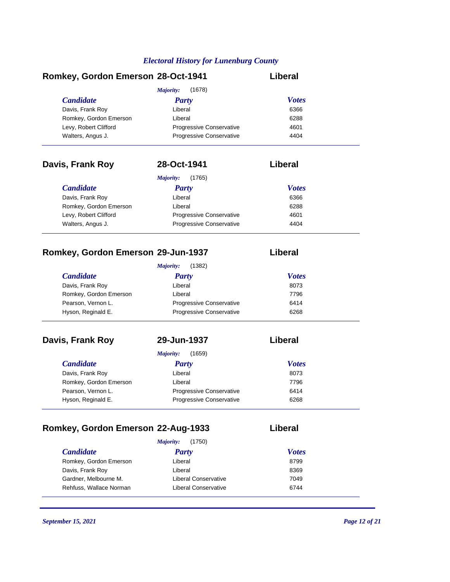# **Romkey, Gordon Emerson 28-Oct-1941 Liberal**

|                        | (1678)<br>Majority:             |              |
|------------------------|---------------------------------|--------------|
| <b>Candidate</b>       | <b>Party</b>                    | <b>Votes</b> |
| Davis, Frank Roy       | Liberal                         | 6366         |
| Romkey, Gordon Emerson | Liberal                         | 6288         |
| Levy, Robert Clifford  | Progressive Conservative        | 4601         |
| Walters, Angus J.      | <b>Progressive Conservative</b> | 4404         |

| Davis, Frank Roy       | 28-Oct-1941                     | Liberal      |
|------------------------|---------------------------------|--------------|
|                        | (1765)<br>Majority:             |              |
| <b>Candidate</b>       | <b>Party</b>                    | <b>Votes</b> |
| Davis, Frank Roy       | Liberal                         | 6366         |
| Romkey, Gordon Emerson | Liberal                         | 6288         |
| Levy, Robert Clifford  | <b>Progressive Conservative</b> | 4601         |
| Walters, Angus J.      | <b>Progressive Conservative</b> | 4404         |

# **Romkey, Gordon Emerson 29-Jun-1937 Liberal**

|                        | (1382)<br>Majority:             |              |
|------------------------|---------------------------------|--------------|
| <i>Candidate</i>       | Party                           | <b>Votes</b> |
| Davis, Frank Roy       | Liberal                         | 8073         |
| Romkey, Gordon Emerson | Liberal                         | 7796         |
| Pearson, Vernon L.     | <b>Progressive Conservative</b> | 6414         |
| Hyson, Reginald E.     | <b>Progressive Conservative</b> | 6268         |

# **Davis, Frank Roy 29-Jun-1937 Liberal**

| (1659)<br>Majority:    |                                 |              |  |
|------------------------|---------------------------------|--------------|--|
| <b>Candidate</b>       | Party                           | <b>Votes</b> |  |
| Davis, Frank Roy       | Liberal                         | 8073         |  |
| Romkey, Gordon Emerson | Liberal                         | 7796         |  |
| Pearson, Vernon L.     | Progressive Conservative        | 6414         |  |
| Hyson, Reginald E.     | <b>Progressive Conservative</b> | 6268         |  |

# **Romkey, Gordon Emerson 22-Aug-1933 Liberal**

| <i>Candidate</i>        | <b>Party</b>         | <b>Votes</b> |
|-------------------------|----------------------|--------------|
| Romkey, Gordon Emerson  | Liberal              | 8799         |
| Davis, Frank Roy        | Liberal              | 8369         |
| Gardner, Melbourne M.   | Liberal Conservative | 7049         |
| Rehfuss, Wallace Norman | Liberal Conservative | 6744         |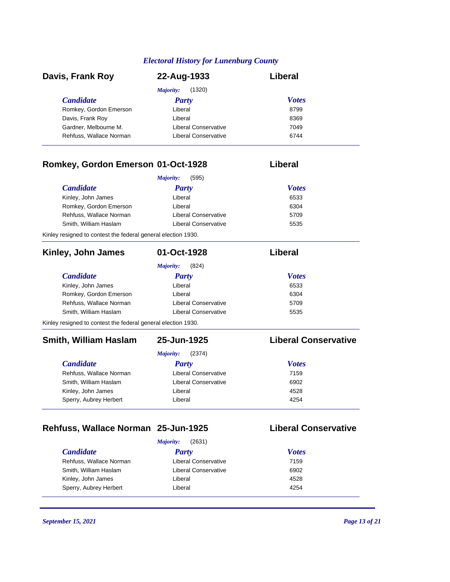| Davis, Frank Roy        | 22-Aug-1933          | Liberal      |  |
|-------------------------|----------------------|--------------|--|
|                         | (1320)<br>Majority:  |              |  |
| <b>Candidate</b>        | Party                | <b>Votes</b> |  |
| Romkey, Gordon Emerson  | Liberal              | 8799         |  |
| Davis, Frank Roy        | Liberal              | 8369         |  |
| Gardner, Melbourne M.   | Liberal Conservative | 7049         |  |
| Rehfuss, Wallace Norman | Liberal Conservative | 6744         |  |

# **Romkey, Gordon Emerson 01-Oct-1928 Liberal**

#### *Candidate Party Votes Majority:* (595) Kinley, John James **Liberal** Liberal **Example 10** 6533 Romkey, Gordon Emerson **Liberal** Liberal **6304** Rehfuss, Wallace Norman Liberal Conservative 5709 Smith, William Haslam Liberal Conservative 5535

Kinley resigned to contest the federal general election 1930.

| Kinley, John James                                            | 01-Oct-1928          | Liberal                     |
|---------------------------------------------------------------|----------------------|-----------------------------|
|                                                               | (824)<br>Majority:   |                             |
| <b>Candidate</b>                                              | Party                | <b>Votes</b>                |
| Kinley, John James                                            | Liberal              | 6533                        |
| Romkey, Gordon Emerson                                        | Liberal              | 6304                        |
| Rehfuss, Wallace Norman                                       | Liberal Conservative | 5709                        |
| Smith, William Haslam                                         | Liberal Conservative | 5535                        |
| Kinley resigned to contest the federal general election 1930. |                      |                             |
| <b>Smith, William Haslam</b>                                  | 25-Jun-1925          | <b>Liberal Conservative</b> |

| <b>Majority:</b> | (2374) |
|------------------|--------|
|                  |        |

| <b>Candidate</b>        | Party                | <b>Votes</b> |  |
|-------------------------|----------------------|--------------|--|
| Rehfuss, Wallace Norman | Liberal Conservative | 7159         |  |
| Smith, William Haslam   | Liberal Conservative | 6902         |  |
| Kinley, John James      | Liberal              | 4528         |  |
| Sperry, Aubrey Herbert  | Liberal              | 4254         |  |
|                         |                      |              |  |

# **Rehfuss, Wallace Norman 25-Jun-1925 Liberal Conservative**

|                         | (2631)<br>Majority:  |              |
|-------------------------|----------------------|--------------|
| <i><b>Candidate</b></i> | <b>Party</b>         | <b>Votes</b> |
| Rehfuss, Wallace Norman | Liberal Conservative | 7159         |
| Smith, William Haslam   | Liberal Conservative | 6902         |
| Kinley, John James      | Liberal              | 4528         |
| Sperry, Aubrey Herbert  | Liberal              | 4254         |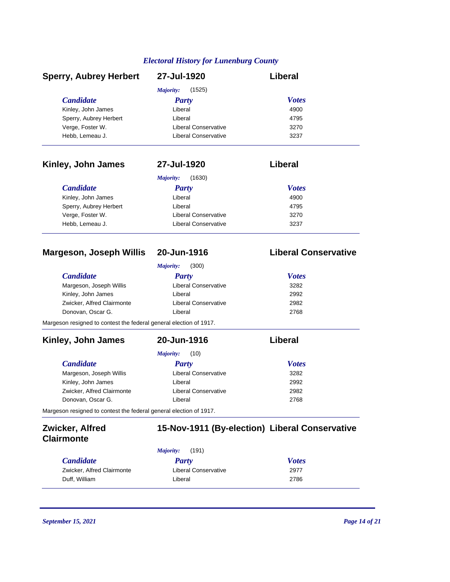| <b>Sperry, Aubrey Herbert</b>  | 27-Jul-1920                 | Liberal                     |
|--------------------------------|-----------------------------|-----------------------------|
|                                | (1525)<br>Majority:         |                             |
| <b>Candidate</b>               | <b>Party</b>                | <b>Votes</b>                |
| Kinley, John James             | Liberal                     | 4900                        |
| Sperry, Aubrey Herbert         | Liberal                     | 4795                        |
| Verge, Foster W.               | Liberal Conservative        | 3270                        |
| Hebb, Lemeau J.                | <b>Liberal Conservative</b> | 3237                        |
| Kinley, John James             | 27-Jul-1920                 | Liberal                     |
|                                | (1630)<br>Majority:         |                             |
| <b>Candidate</b>               | Party                       | <b>Votes</b>                |
| Kinley, John James             | Liberal                     | 4900                        |
| Sperry, Aubrey Herbert         | Liberal                     | 4795                        |
| Verge, Foster W.               | <b>Liberal Conservative</b> | 3270                        |
| Hebb, Lemeau J.                | Liberal Conservative        | 3237                        |
|                                |                             |                             |
| <b>Margeson, Joseph Willis</b> | 20-Jun-1916                 | <b>Liberal Conservative</b> |

| (300)<br>Majority:                                                 |                             |              |  |  |
|--------------------------------------------------------------------|-----------------------------|--------------|--|--|
| <b>Candidate</b>                                                   | Party                       | <b>Votes</b> |  |  |
| Margeson, Joseph Willis                                            | <b>Liberal Conservative</b> | 3282         |  |  |
| Kinley, John James                                                 | Liberal                     | 2992         |  |  |
| Zwicker, Alfred Clairmonte                                         | <b>Liberal Conservative</b> | 2982         |  |  |
| Donovan, Oscar G.                                                  | Liberal                     | 2768         |  |  |
| Margeson resigned to contest the federal general election of 1917. |                             |              |  |  |

## *Candidate Party Votes* **Kinley, John James 20-Jun-1916 Liberal** *Majority:* (10) Margeson, Joseph Willis **Margeson, Joseph Willis** Liberal Conservative **3282** Kinley, John James **Liberal** Liberal 2992 Zwicker, Alfred Clairmonte Liberal Conservative 2982 Donovan, Oscar G. Christian Liberal Christian Liberal 2768 Margeson resigned to contest the federal general election of 1917.

| Zwicker, Alfred<br><b>Clairmonte</b> |           |       | 15-Nov-1911 (By-election) Liberal Conservative |
|--------------------------------------|-----------|-------|------------------------------------------------|
|                                      | Majority: | (191) |                                                |
| 0.111.4                              |           |       | 17.4.1                                         |

| <b>Candidate</b>           | Party                | <b>Votes</b> |  |
|----------------------------|----------------------|--------------|--|
| Zwicker, Alfred Clairmonte | Liberal Conservative | 2977         |  |
| Duff. William              | Liberal              | 2786         |  |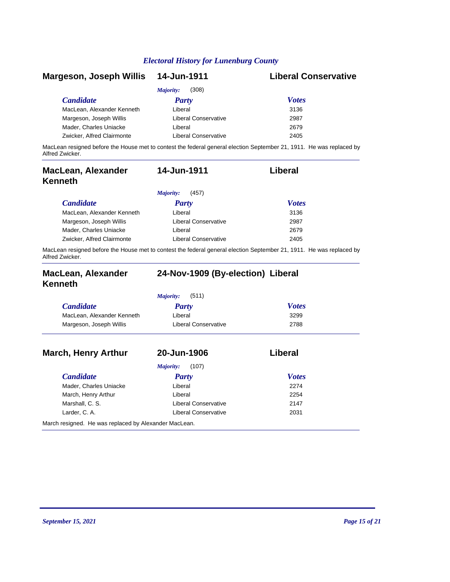| Margeson, Joseph Willis    | 14-Jun-1911                 | <b>Liberal Conservative</b>                                                                                          |
|----------------------------|-----------------------------|----------------------------------------------------------------------------------------------------------------------|
|                            | (308)<br>Majority:          |                                                                                                                      |
| <b>Candidate</b>           | <b>Party</b>                | <b>Votes</b>                                                                                                         |
| MacLean, Alexander Kenneth | Liberal                     | 3136                                                                                                                 |
| Margeson, Joseph Willis    | <b>Liberal Conservative</b> | 2987                                                                                                                 |
| Mader, Charles Uniacke     | Liberal                     | 2679                                                                                                                 |
| Zwicker, Alfred Clairmonte | <b>Liberal Conservative</b> | 2405                                                                                                                 |
|                            |                             | MacLean resigned before the House met to contest the federal general election September 21, 1911. He was replaced by |

Alfred Zwicker.

| MacLean, Alexander<br>Kenneth                                                                                    | 14-Jun-1911                 | Liberal      |  |
|------------------------------------------------------------------------------------------------------------------|-----------------------------|--------------|--|
|                                                                                                                  | (457)<br><i>Majority:</i>   |              |  |
| <b>Candidate</b>                                                                                                 | <b>Party</b>                | <b>Votes</b> |  |
| MacLean, Alexander Kenneth                                                                                       | Liberal                     | 3136         |  |
| Margeson, Joseph Willis                                                                                          | <b>Liberal Conservative</b> | 2987         |  |
| Mader, Charles Uniacke                                                                                           | Liberal                     | 2679         |  |
| Zwicker, Alfred Clairmonte                                                                                       | Liberal Conservative        | 2405         |  |
| MacLean resigned before the House met to contest the federal general election September 21, 1911. He was replace |                             |              |  |

House met to contest the federal general election September 21, 1911. He was replaced by MacLean resign<br>Alfred Zwicker.

| <b>MacLean, Alexander</b><br><b>Kenneth</b> | 24-Nov-1909 (By-election) Liberal |              |  |
|---------------------------------------------|-----------------------------------|--------------|--|
|                                             | Majority:<br>(511)                |              |  |
| <b>Candidate</b>                            | Party                             | <b>Votes</b> |  |
| MacLean, Alexander Kenneth                  | Liberal                           | 3299         |  |
| Margeson, Joseph Willis                     | Liberal Conservative              | 2788         |  |
| <b>March, Henry Arthur</b>                  | 20-Jun-1906                       | Liberal      |  |
|                                             | Majority:<br>(107)                |              |  |
| <b>Candidate</b>                            | Party                             | <b>Votes</b> |  |

| Mader, Charles Uniacke                                | Liberal              | 2274 |  |
|-------------------------------------------------------|----------------------|------|--|
| March, Henry Arthur                                   | Liberal              | 2254 |  |
| Marshall, C. S.                                       | Liberal Conservative | 2147 |  |
| Larder, C. A.                                         | Liberal Conservative | 2031 |  |
| March resigned. He was replaced by Alexander MacLean. |                      |      |  |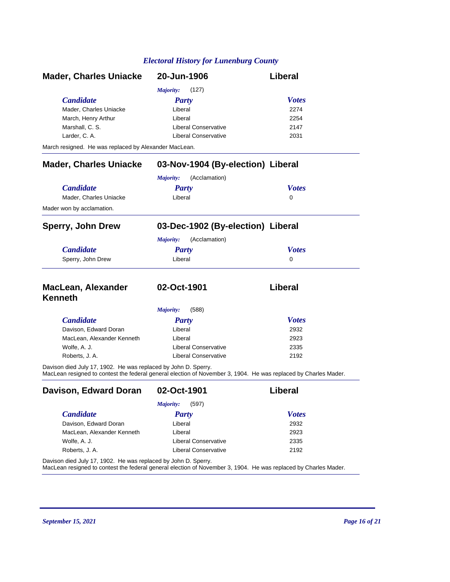| <b>Mader, Charles Uniacke</b>                                  | 20-Jun-1906                                                                                                     | <b>Liberal</b> |
|----------------------------------------------------------------|-----------------------------------------------------------------------------------------------------------------|----------------|
|                                                                | Majority:<br>(127)                                                                                              |                |
| <b>Candidate</b>                                               | Party                                                                                                           | <b>Votes</b>   |
| Mader, Charles Uniacke                                         | Liberal                                                                                                         | 2274           |
| March, Henry Arthur                                            | Liberal                                                                                                         | 2254           |
| Marshall, C. S.                                                | Liberal Conservative                                                                                            | 2147           |
| Larder, C. A.                                                  | <b>Liberal Conservative</b>                                                                                     | 2031           |
| March resigned. He was replaced by Alexander MacLean.          |                                                                                                                 |                |
| <b>Mader, Charles Uniacke</b>                                  | 03-Nov-1904 (By-election) Liberal                                                                               |                |
|                                                                | Majority:<br>(Acclamation)                                                                                      |                |
| <b>Candidate</b>                                               | <b>Party</b>                                                                                                    | <b>Votes</b>   |
| Mader, Charles Uniacke                                         | Liberal                                                                                                         | $\mathbf{0}$   |
| Mader won by acclamation.                                      |                                                                                                                 |                |
| <b>Sperry, John Drew</b>                                       | 03-Dec-1902 (By-election) Liberal                                                                               |                |
|                                                                | (Acclamation)<br><b>Majority:</b>                                                                               |                |
| <b>Candidate</b>                                               | <b>Party</b>                                                                                                    | <b>Votes</b>   |
| Sperry, John Drew                                              | Liberal                                                                                                         | $\Omega$       |
| <b>MacLean, Alexander</b>                                      | 02-Oct-1901                                                                                                     | Liberal        |
| <b>Kenneth</b>                                                 |                                                                                                                 |                |
|                                                                | Majority:<br>(588)                                                                                              |                |
| <b>Candidate</b>                                               | <b>Party</b>                                                                                                    | <b>Votes</b>   |
| Davison, Edward Doran                                          | Liberal                                                                                                         | 2932           |
| MacLean, Alexander Kenneth                                     | Liberal                                                                                                         | 2923           |
| Wolfe, A. J.                                                   | <b>Liberal Conservative</b>                                                                                     | 2335           |
| Roberts, J. A.                                                 | <b>Liberal Conservative</b>                                                                                     | 2192           |
| Davison died July 17, 1902. He was replaced by John D. Sperry. | MacLean resigned to contest the federal general election of November 3, 1904. He was replaced by Charles Mader. |                |
| Davison, Edward Doran                                          | 02-Oct-1901                                                                                                     | Liberal        |
|                                                                | (597)<br><b>Majority:</b>                                                                                       |                |
| <b>Candidate</b>                                               | <b>Party</b>                                                                                                    | <b>Votes</b>   |
| Davison, Edward Doran                                          | Liberal                                                                                                         | 2932           |
| MacLean, Alexander Kenneth                                     | Liberal                                                                                                         | 2923           |
| Wolfe, A. J.                                                   | <b>Liberal Conservative</b>                                                                                     | 2335           |

Davison died July 17, 1902. He was replaced by John D. Sperry.

MacLean resigned to contest the federal general election of November 3, 1904. He was replaced by Charles Mader.

Roberts, J. A. 2192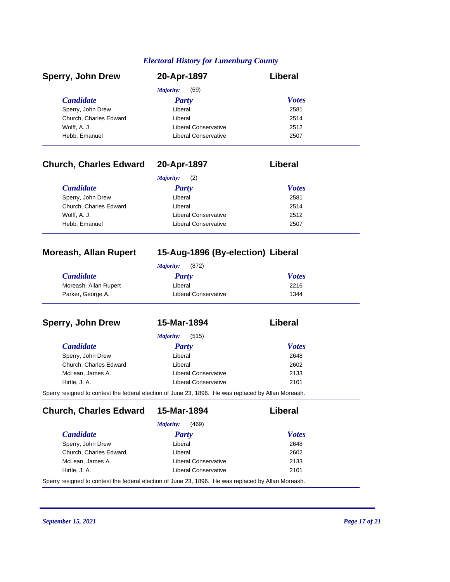| <b>Sperry, John Drew</b> | 20-Apr-1897          | Liberal      |  |
|--------------------------|----------------------|--------------|--|
|                          | (69)<br>Majority:    |              |  |
| <b>Candidate</b>         | Party                | <b>Votes</b> |  |
| Sperry, John Drew        | Liberal              | 2581         |  |
| Church, Charles Edward   | Liberal              | 2514         |  |
| Wolff, A. J.             | Liberal Conservative | 2512         |  |
| Hebb, Emanuel            | Liberal Conservative | 2507         |  |

# **Church, Charles Edward 20-Apr-1897 Liberal**

| (2)<br>Majority:       |                             |              |
|------------------------|-----------------------------|--------------|
| <i>Candidate</i>       | Party                       | <b>Votes</b> |
| Sperry, John Drew      | Liberal                     | 2581         |
| Church, Charles Edward | Liberal                     | 2514         |
| Wolff, A. J.           | <b>Liberal Conservative</b> | 2512         |
| Hebb, Emanuel          | <b>Liberal Conservative</b> | 2507         |

## **Moreash, Allan Rupert 15-Aug-1896 (By-election) Liberal**

| (872)<br>Maiority:    |                      |              |
|-----------------------|----------------------|--------------|
| <b>Candidate</b>      | <b>Party</b>         | <b>Votes</b> |
| Moreash, Allan Rupert | Liberal              | 2216         |
| Parker, George A.     | Liberal Conservative | 1344         |

| <b>Sperry, John Drew</b> | 15-Mar-1894                                                                                        | Liberal      |
|--------------------------|----------------------------------------------------------------------------------------------------|--------------|
|                          | (515)<br><i>Majority:</i>                                                                          |              |
| <b>Candidate</b>         | <b>Party</b>                                                                                       | <b>Votes</b> |
| Sperry, John Drew        | Liberal                                                                                            | 2648         |
| Church, Charles Edward   | Liberal                                                                                            | 2602         |
| McLean, James A.         | <b>Liberal Conservative</b>                                                                        | 2133         |
| Hirtle, J. A.            | Liberal Conservative                                                                               | 2101         |
|                          | Sperry resigned to contest the federal election of June 23, 1896. He was replaced by Allan Moreash |              |

Sperry resigned to contest the federal election of June 23, 1896. He was replaced by Allan Moreash.

**Church, Charles Edward 15-Mar-1894 Liberal**

|                        | (469)<br><i>Majority:</i> |              |
|------------------------|---------------------------|--------------|
| <i>Candidate</i>       | <b>Party</b>              | <b>Votes</b> |
| Sperry, John Drew      | Liberal                   | 2648         |
| Church, Charles Edward | I iberal                  | 2602         |
| McLean, James A.       | Liberal Conservative      | 2133         |
| Hirtle, J. A.          | Liberal Conservative      | 2101         |

Sperry resigned to contest the federal election of June 23, 1896. He was replaced by Allan Moreash.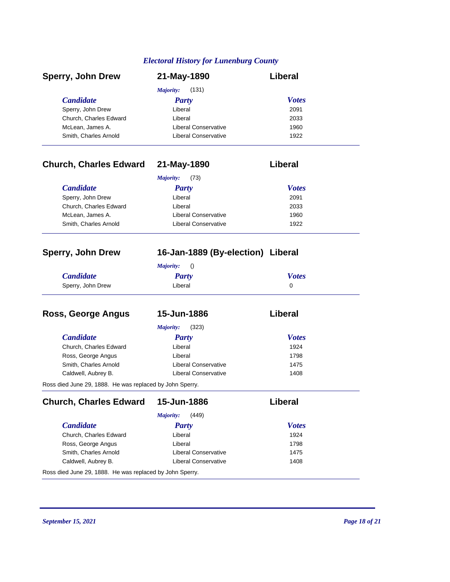| <b>Sperry, John Drew</b> | 21-May-1890          | Liberal      |
|--------------------------|----------------------|--------------|
|                          | (131)<br>Majority:   |              |
| <b>Candidate</b>         | <b>Party</b>         | <b>Votes</b> |
| Sperry, John Drew        | Liberal              | 2091         |
| Church, Charles Edward   | Liberal              | 2033         |
| McLean, James A.         | Liberal Conservative | 1960         |
| Smith, Charles Arnold    | Liberal Conservative | 1922         |

# **Church, Charles Edward 21-May-1890 Liberal**

| (73)<br>Majority:      |                      |              |
|------------------------|----------------------|--------------|
| <i>Candidate</i>       | Party                | <b>Votes</b> |
| Sperry, John Drew      | Liberal              | 2091         |
| Church, Charles Edward | Liberal              | 2033         |
| McLean, James A.       | Liberal Conservative | 1960         |
| Smith, Charles Arnold  | Liberal Conservative | 1922         |

### **Sperry, John Drew 16-Jan-1889 (By-election) Liberal**

| Majority:         |         |              |
|-------------------|---------|--------------|
| <b>Candidate</b>  | Party   | <b>Votes</b> |
| Sperry, John Drew | Liberal |              |

| Ross, George Angus                                       | 15-Jun-1886                 | Liberal      |
|----------------------------------------------------------|-----------------------------|--------------|
|                                                          | (323)<br>Majority:          |              |
| <b>Candidate</b>                                         | <b>Party</b>                | <b>Votes</b> |
| Church, Charles Edward                                   | Liberal                     | 1924         |
| Ross, George Angus                                       | Liberal                     | 1798         |
| Smith, Charles Arnold                                    | <b>Liberal Conservative</b> | 1475         |
| Caldwell, Aubrey B.                                      | <b>Liberal Conservative</b> | 1408         |
| Ross died June 29, 1888. He was replaced by John Sperry. |                             |              |

*Candidate Party Votes* **Church, Charles Edward 15-Jun-1886 Liberal** *Majority:* (449) Church, Charles Edward Liberal Liberal 1924 Ross, George Angus **Constant Constant Constant Constant Constant Constant Constant Constant Constant Constant Constant Constant Constant Constant Constant Constant Constant Constant Constant Constant Constant Constant Cons** Smith, Charles Arnold **Liberal Conservative** 1475 Caldwell, Aubrey B. Caldwell, Aubrey B. Caldwell, Aubrey B. Caldwell, Aubrey B. Caldwell, Australian Conservative Ross died June 29, 1888. He was replaced by John Sperry.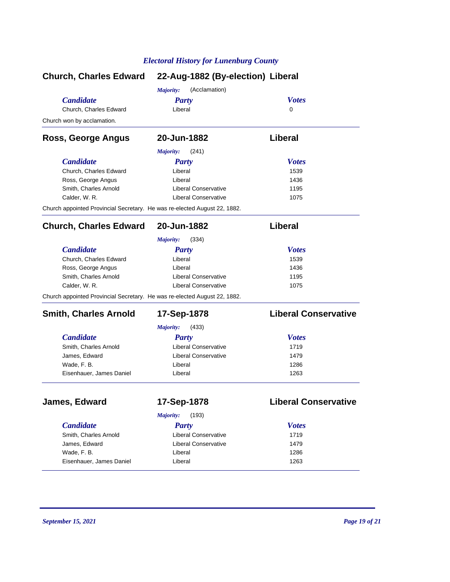|                                                                           | Church, Charles Edward 22-Aug-1882 (By-election) Liberal |                             |  |
|---------------------------------------------------------------------------|----------------------------------------------------------|-----------------------------|--|
|                                                                           | (Acclamation)<br>Majority:                               |                             |  |
| <b>Candidate</b>                                                          | <b>Party</b>                                             | <b>Votes</b>                |  |
| Church, Charles Edward                                                    | Liberal                                                  | $\Omega$                    |  |
| Church won by acclamation.                                                |                                                          |                             |  |
| Ross, George Angus                                                        | 20-Jun-1882                                              | Liberal                     |  |
|                                                                           | <b>Majority:</b><br>(241)                                |                             |  |
| <b>Candidate</b>                                                          | <b>Party</b>                                             | <b>Votes</b>                |  |
| Church. Charles Edward                                                    | Liberal                                                  | 1539                        |  |
| Ross, George Angus                                                        | Liberal                                                  | 1436                        |  |
| Smith, Charles Arnold                                                     | <b>Liberal Conservative</b>                              | 1195                        |  |
| Calder, W. R.                                                             | <b>Liberal Conservative</b>                              | 1075                        |  |
| Church appointed Provincial Secretary. He was re-elected August 22, 1882. |                                                          |                             |  |
| <b>Church, Charles Edward</b>                                             | 20-Jun-1882                                              | Liberal                     |  |
|                                                                           | (334)<br><b>Majority:</b>                                |                             |  |
| <b>Candidate</b>                                                          | <b>Party</b>                                             | <b>Votes</b>                |  |
| Church. Charles Edward                                                    | Liberal                                                  | 1539                        |  |
| Ross, George Angus                                                        | I iberal                                                 | 1436                        |  |
| Smith, Charles Arnold                                                     | <b>Liberal Conservative</b>                              | 1195                        |  |
| Calder, W. R.                                                             | <b>Liberal Conservative</b>                              | 1075                        |  |
| Church appointed Provincial Secretary. He was re-elected August 22, 1882. |                                                          |                             |  |
| <b>Smith, Charles Arnold</b>                                              | 17-Sep-1878                                              | <b>Liberal Conservative</b> |  |
|                                                                           | <b>Majority:</b><br>(433)                                |                             |  |
| <b>Candidate</b>                                                          |                                                          | <b>Votes</b>                |  |
| Smith, Charles Arnold                                                     | Party<br><b>Liberal Conservative</b>                     | 1719                        |  |
| James, Edward                                                             | <b>Liberal Conservative</b>                              | 1479                        |  |
| Wade, F. B.                                                               | Liberal                                                  | 1286                        |  |
| Eisenhauer, James Daniel                                                  | Liberal                                                  | 1263                        |  |
|                                                                           |                                                          |                             |  |
| James, Edward                                                             | 17-Sep-1878                                              | <b>Liberal Conservative</b> |  |
|                                                                           | (193)<br>Majority:                                       |                             |  |
| <b>Candidate</b>                                                          | <b>Party</b>                                             | <b>Votes</b>                |  |
| Smith, Charles Arnold                                                     | <b>Liberal Conservative</b>                              | 1719                        |  |
| James, Edward                                                             | Liberal Conservative                                     | 1479                        |  |
| Wade, F. B.                                                               | Liberal                                                  | 1286                        |  |
| Eisenhauer, James Daniel                                                  | Liberal                                                  | 1263                        |  |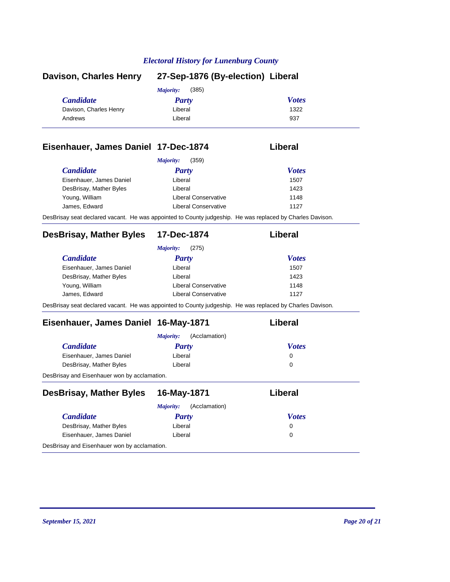| <b>Davison, Charles Henry</b> | 27-Sep-1876 (By-election) Liberal |              |
|-------------------------------|-----------------------------------|--------------|
|                               | (385)<br><i>Majority:</i>         |              |
| <b>Candidate</b>              | Party                             | <b>Votes</b> |
| Davison, Charles Henry        | Liberal                           | 1322         |
| Andrews                       | Liberal                           | 937          |
|                               |                                   |              |

### **Eisenhauer, James Daniel 17-Dec-1874 Liberal**

| <b>Candidate</b>         | <b>Party</b>         | <b>Votes</b> |
|--------------------------|----------------------|--------------|
| Eisenhauer, James Daniel | Liberal              | 1507         |
| DesBrisay, Mather Byles  | Liberal              | 1423         |
| Young, William           | Liberal Conservative | 1148         |
| James, Edward            | Liberal Conservative | 1127         |

# **DesBrisay, Mather Byles 17-Dec-1874 Liberal**

|                          | (275)<br>Majority:                                                                                        |              |
|--------------------------|-----------------------------------------------------------------------------------------------------------|--------------|
| <b>Candidate</b>         | <b>Party</b>                                                                                              | <b>Votes</b> |
| Eisenhauer, James Daniel | Liberal                                                                                                   | 1507         |
| DesBrisay, Mather Byles  | Liberal                                                                                                   | 1423         |
| Young, William           | Liberal Conservative                                                                                      | 1148         |
| James, Edward            | Liberal Conservative                                                                                      | 1127         |
|                          | DesBrisay seat declared vacant. He was appointed to County judgeship. He was replaced by Charles Davison. |              |

# **Eisenhauer, James Daniel 16-May-1871 Liberal**

|                                              | (Acclamation)<br><i>Majority:</i> |              |  |
|----------------------------------------------|-----------------------------------|--------------|--|
| <b>Candidate</b>                             | Party                             | <b>Votes</b> |  |
| Eisenhauer, James Daniel                     | Liberal                           | 0            |  |
| DesBrisay, Mather Byles                      | Liberal                           | 0            |  |
| DesBrisay and Eisenhauer won by acclamation. |                                   |              |  |

| <b>DesBrisay, Mather Byles</b>               | 16-May-1871                | Liberal      |
|----------------------------------------------|----------------------------|--------------|
|                                              | (Acclamation)<br>Majority: |              |
| <b>Candidate</b>                             | Party                      | <b>Votes</b> |
| DesBrisay, Mather Byles                      | Liberal                    | 0            |
| Eisenhauer, James Daniel                     | Liberal                    | 0            |
| DesBrisay and Eisenhauer won by acclamation. |                            |              |